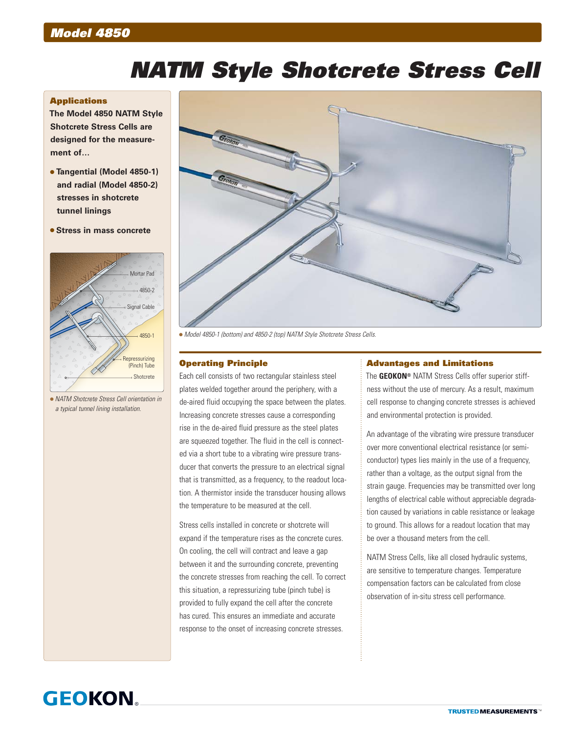# *NATM Style Shotcrete Stress Cell*

#### **Applications**

**The Model 4850 NATM Style Shotcrete Stress Cells are designed for the measurement of…**

- **Tangential (Model 4850-1) and radial (Model 4850-2) stresses in shotcrete tunnel linings**
- **Stress in mass concrete**



 *NATM Shotcrete Stress Cell orientation in a typical tunnel lining installation.*



*Model 4850-1 (bottom) and 4850-2 (top) NATM Style Shotcrete Stress Cells.*

# Operating Principle

Each cell consists of two rectangular stainless steel plates welded together around the periphery, with a de-aired fluid occupying the space between the plates. Increasing concrete stresses cause a corresponding rise in the de-aired fluid pressure as the steel plates are squeezed together. The fluid in the cell is connected via a short tube to a vibrating wire pressure transducer that converts the pressure to an electrical signal that is transmitted, as a frequency, to the readout location. A thermistor inside the transducer housing allows the temperature to be measured at the cell.

Stress cells installed in concrete or shotcrete will expand if the temperature rises as the concrete cures. On cooling, the cell will contract and leave a gap between it and the surrounding concrete, preventing the concrete stresses from reaching the cell. To correct this situation, a repressurizing tube (pinch tube) is provided to fully expand the cell after the concrete has cured. This ensures an immediate and accurate response to the onset of increasing concrete stresses.

#### Advantages and Limitations

The **GEOKON®** NATM Stress Cells offer superior stiffness without the use of mercury. As a result, maximum cell response to changing concrete stresses is achieved and environmental protection is provided.

An advantage of the vibrating wire pressure transducer over more conventional electrical resistance (or semiconductor) types lies mainly in the use of a frequency, rather than a voltage, as the output signal from the strain gauge. Frequencies may be transmitted over long lengths of electrical cable without appreciable degradation caused by variations in cable resistance or leakage to ground. This allows for a readout location that may be over a thousand meters from the cell.

NATM Stress Cells, like all closed hydraulic systems, are sensitive to temperature changes. Temperature compensation factors can be calculated from close observation of in-situ stress cell performance.

# **GEOKON**